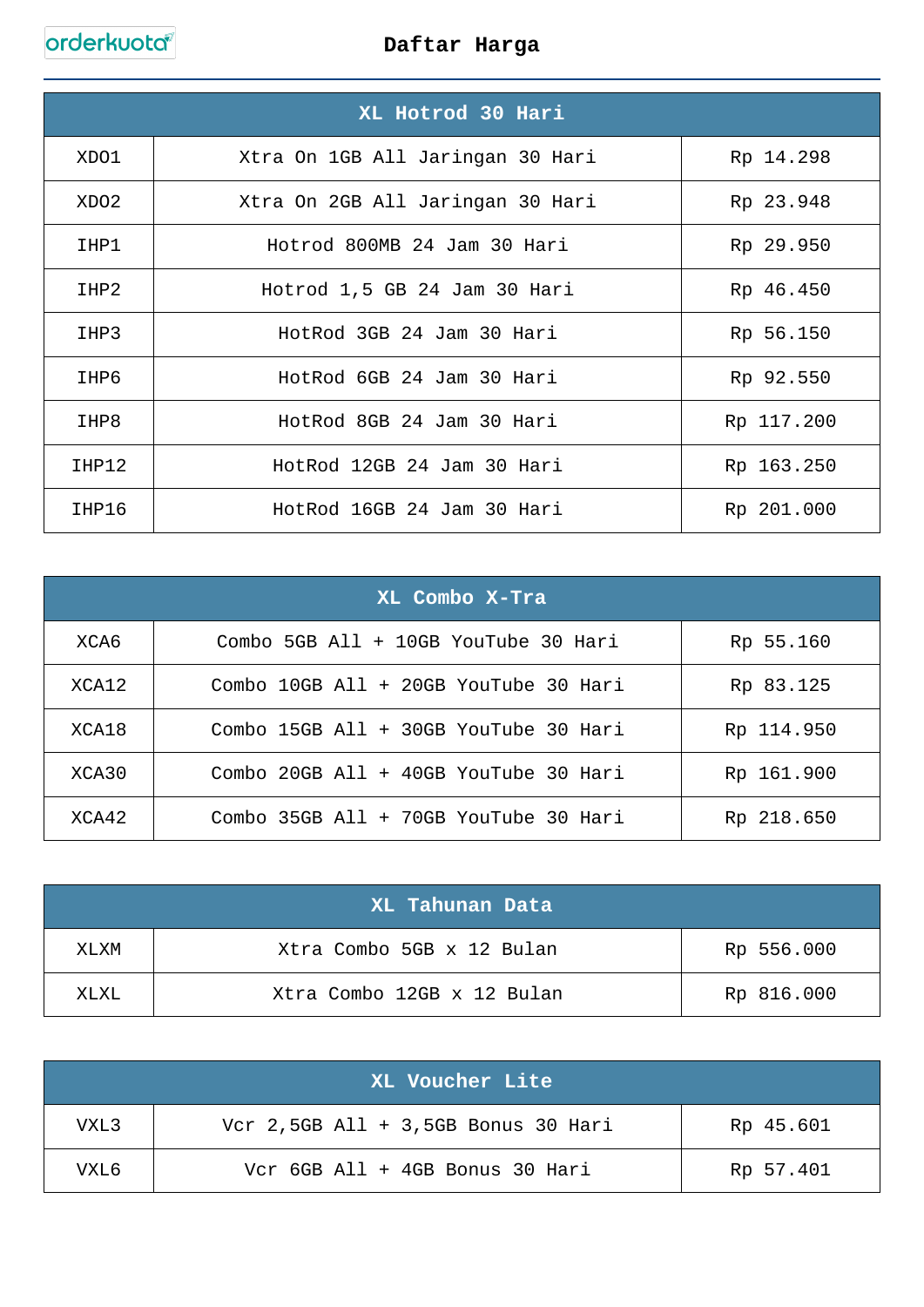|                  | XL Hotrod 30 Hari                |            |
|------------------|----------------------------------|------------|
| XDO1             | Xtra On 1GB All Jaringan 30 Hari | Rp 14.298  |
| XDO <sub>2</sub> | Xtra On 2GB All Jaringan 30 Hari | Rp 23.948  |
| IHP1             | Hotrod 800MB 24 Jam 30 Hari      | Rp 29.950  |
| IHP2             | Hotrod 1,5 GB 24 Jam 30 Hari     | Rp 46.450  |
| IHP3             | HotRod 3GB 24 Jam 30 Hari        | Rp 56.150  |
| IHP6             | HotRod 6GB 24 Jam 30 Hari        | Rp 92.550  |
| IHP8             | HotRod 8GB 24 Jam 30 Hari        | Rp 117.200 |
| IHP12            | HotRod 12GB 24 Jam 30 Hari       | Rp 163.250 |
| IHP16            | HotRod 16GB 24 Jam 30 Hari       | Rp 201.000 |

| XL Combo X-Tra |                                         |            |  |
|----------------|-----------------------------------------|------------|--|
| XCA6           | Combo 5GB All + 10GB YouTube 30 Hari    | Rp 55.160  |  |
| XCA12          | Combo $10GB$ All + 20GB YouTube 30 Hari | Rp 83.125  |  |
| XCA18          | Combo 15GB All + 30GB YouTube 30 Hari   | Rp 114.950 |  |
| XCA30          | Combo 20GB $All + 40GB$ YouTube 30 Hari | Rp 161.900 |  |
| XCA42          | Combo 35GB All + 70GB YouTube 30 Hari   | Rp 218.650 |  |

|        | XL Tahunan Data            |            |
|--------|----------------------------|------------|
| XLXM   | Xtra Combo 5GB x 12 Bulan  | Rp 556.000 |
| XT.XT. | Xtra Combo 12GB x 12 Bulan | Rp 816.000 |

| XL Voucher Lite |                                       |           |
|-----------------|---------------------------------------|-----------|
| VXL3            | Vcr $2,5GB$ All + 3,5GB Bonus 30 Hari | Rp 45.601 |
| VXL6            | Vcr 6GB All + 4GB Bonus 30 Hari       | Rp 57.401 |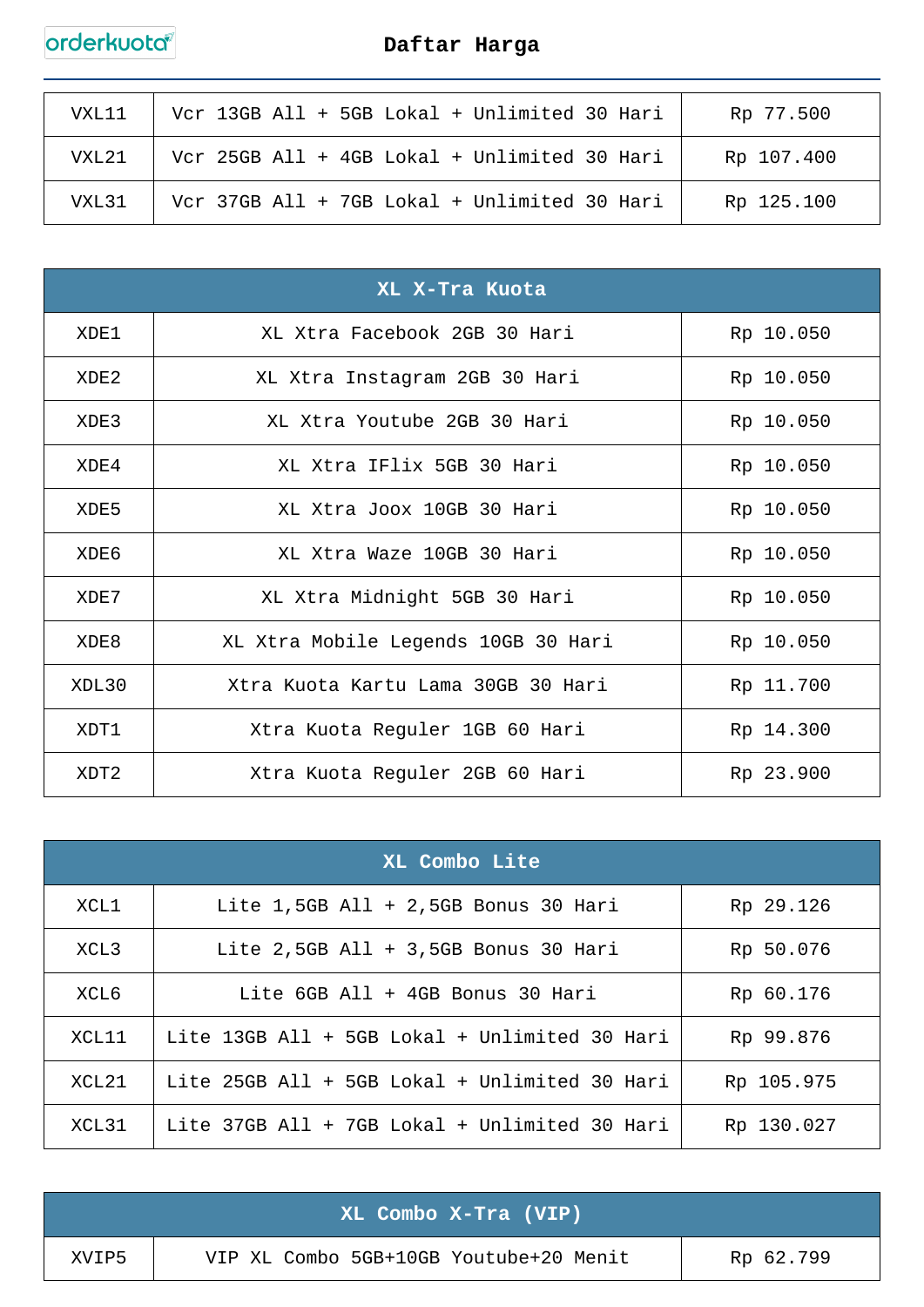# orderkuota

| VXL11 | Vcr 13GB All + 5GB Lokal + Unlimited 30 Hari | Rp 77.500  |
|-------|----------------------------------------------|------------|
| VXL21 | Vcr 25GB All + 4GB Lokal + Unlimited 30 Hari | Rp 107.400 |
| VXL31 | Vcr 37GB All + 7GB Lokal + Unlimited 30 Hari | Rp 125.100 |

|       | XL X-Tra Kuota                      |           |
|-------|-------------------------------------|-----------|
| XDE1  | XL Xtra Facebook 2GB 30 Hari        | Rp 10.050 |
| XDE2  | XL Xtra Instagram 2GB 30 Hari       | Rp 10.050 |
| XDE3  | XL Xtra Youtube 2GB 30 Hari         | Rp 10.050 |
| XDE4  | XL Xtra IFlix 5GB 30 Hari           | Rp 10.050 |
| XDE5  | XL Xtra Joox 10GB 30 Hari           | Rp 10.050 |
| XDE6  | XL Xtra Waze 10GB 30 Hari           | Rp 10.050 |
| XDE7  | XL Xtra Midnight 5GB 30 Hari        | Rp 10.050 |
| XDE8  | XL Xtra Mobile Legends 10GB 30 Hari | Rp 10.050 |
| XDL30 | Xtra Kuota Kartu Lama 30GB 30 Hari  | Rp 11.700 |
| XDT1  | Xtra Kuota Reguler 1GB 60 Hari      | Rp 14.300 |
| XDT2  | Xtra Kuota Reguler 2GB 60 Hari      | Rp 23.900 |

|       | XL Combo Lite                                 |            |
|-------|-----------------------------------------------|------------|
| XCL1  | Lite $1,5GB$ All + 2,5GB Bonus 30 Hari        | Rp 29.126  |
| XCL3  | Lite $2,5GB$ All + 3,5GB Bonus 30 Hari        | Rp 50.076  |
| XCL6  | Lite 6GB All + 4GB Bonus 30 Hari              | Rp 60.176  |
| XCL11 | Lite 13GB All + 5GB Lokal + Unlimited 30 Hari | Rp 99.876  |
| XCL21 | Lite 25GB All + 5GB Lokal + Unlimited 30 Hari | Rp 105.975 |
| XCL31 | Lite 37GB All + 7GB Lokal + Unlimited 30 Hari | Rp 130.027 |

|       | XL Combo X-Tra (VIP)                   |           |
|-------|----------------------------------------|-----------|
| XVIP5 | VIP XL Combo 5GB+10GB Youtube+20 Menit | Rp 62.799 |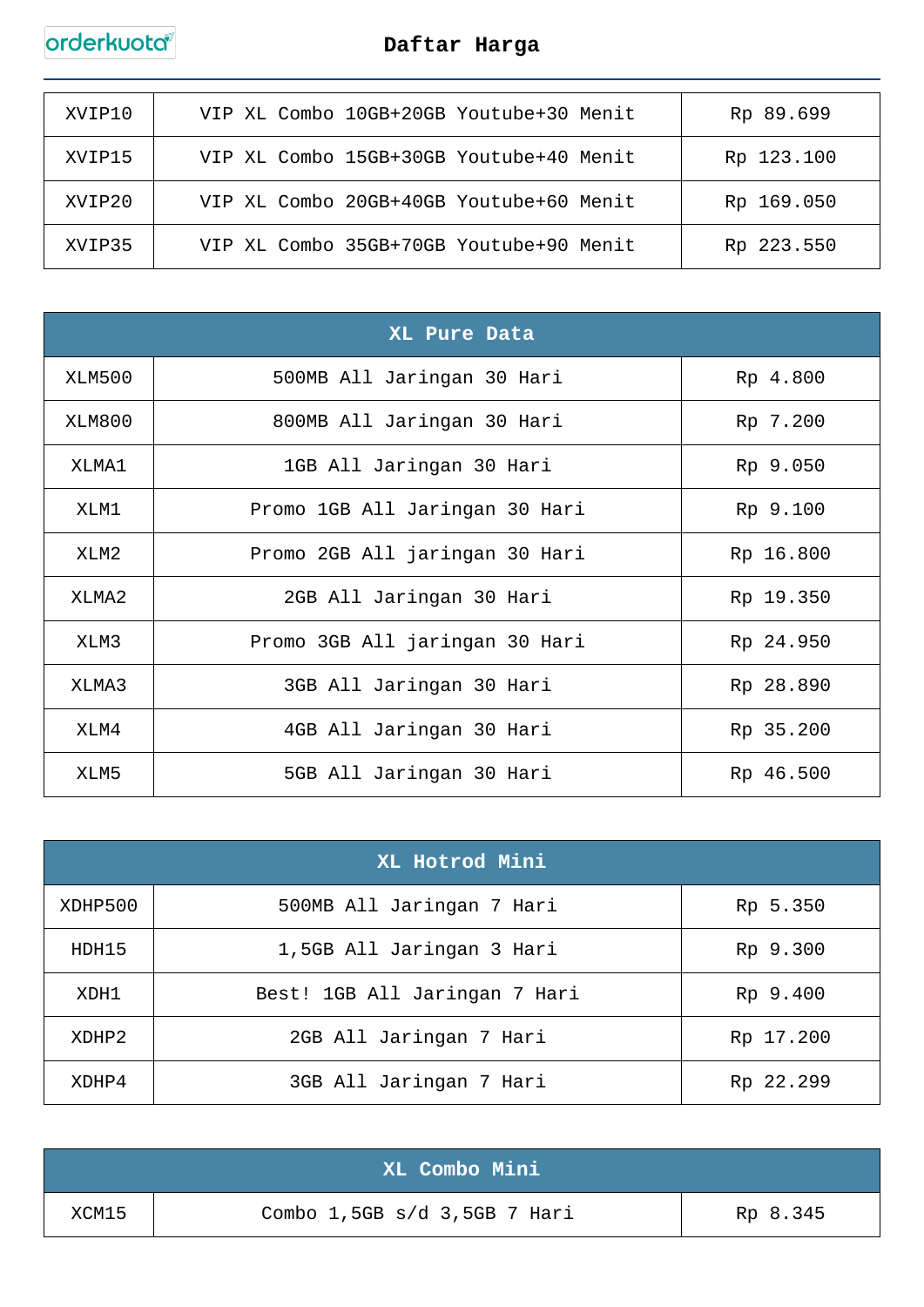## orderkuota

| XVIP10 | VIP XL Combo 10GB+20GB Youtube+30 Menit | Rp 89.699  |
|--------|-----------------------------------------|------------|
| XVIP15 | VIP XL Combo 15GB+30GB Youtube+40 Menit | Rp 123.100 |
| XVIP20 | VIP XL Combo 20GB+40GB Youtube+60 Menit | Rp 169.050 |
| XVIP35 | VIP XL Combo 35GB+70GB Youtube+90 Menit | Rp 223.550 |

|        | XL Pure Data                   |           |
|--------|--------------------------------|-----------|
| XLM500 | 500MB All Jaringan 30 Hari     | Rp 4.800  |
| XLM800 | 800MB All Jaringan 30 Hari     | Rp 7.200  |
| XLMA1  | 1GB All Jaringan 30 Hari       | Rp 9.050  |
| XLM1   | Promo 1GB All Jaringan 30 Hari | Rp 9.100  |
| XLM2   | Promo 2GB All jaringan 30 Hari | Rp 16.800 |
| XLMA2  | 2GB All Jaringan 30 Hari       | Rp 19.350 |
| XLM3   | Promo 3GB All jaringan 30 Hari | Rp 24.950 |
| XLMA3  | 3GB All Jaringan 30 Hari       | Rp 28.890 |
| XLM4   | 4GB All Jaringan 30 Hari       | Rp 35.200 |
| XLM5   | 5GB All Jaringan 30 Hari       | Rp 46.500 |

| XL Hotrod Mini |                               |           |
|----------------|-------------------------------|-----------|
| XDHP500        | 500MB All Jaringan 7 Hari     | Rp 5.350  |
| HDH15          | 1,5GB All Jaringan 3 Hari     | Rp 9.300  |
| XDH1           | Best! 1GB All Jaringan 7 Hari | Rp 9.400  |
| XDHP2          | 2GB All Jaringan 7 Hari       | Rp 17.200 |
| XDHP4          | 3GB All Jaringan 7 Hari       | Rp 22.299 |

|       | XL Combo Mini                  |          |
|-------|--------------------------------|----------|
| XCM15 | Combo $1,5GB s/d 3,5GB 7 Hari$ | Rp 8.345 |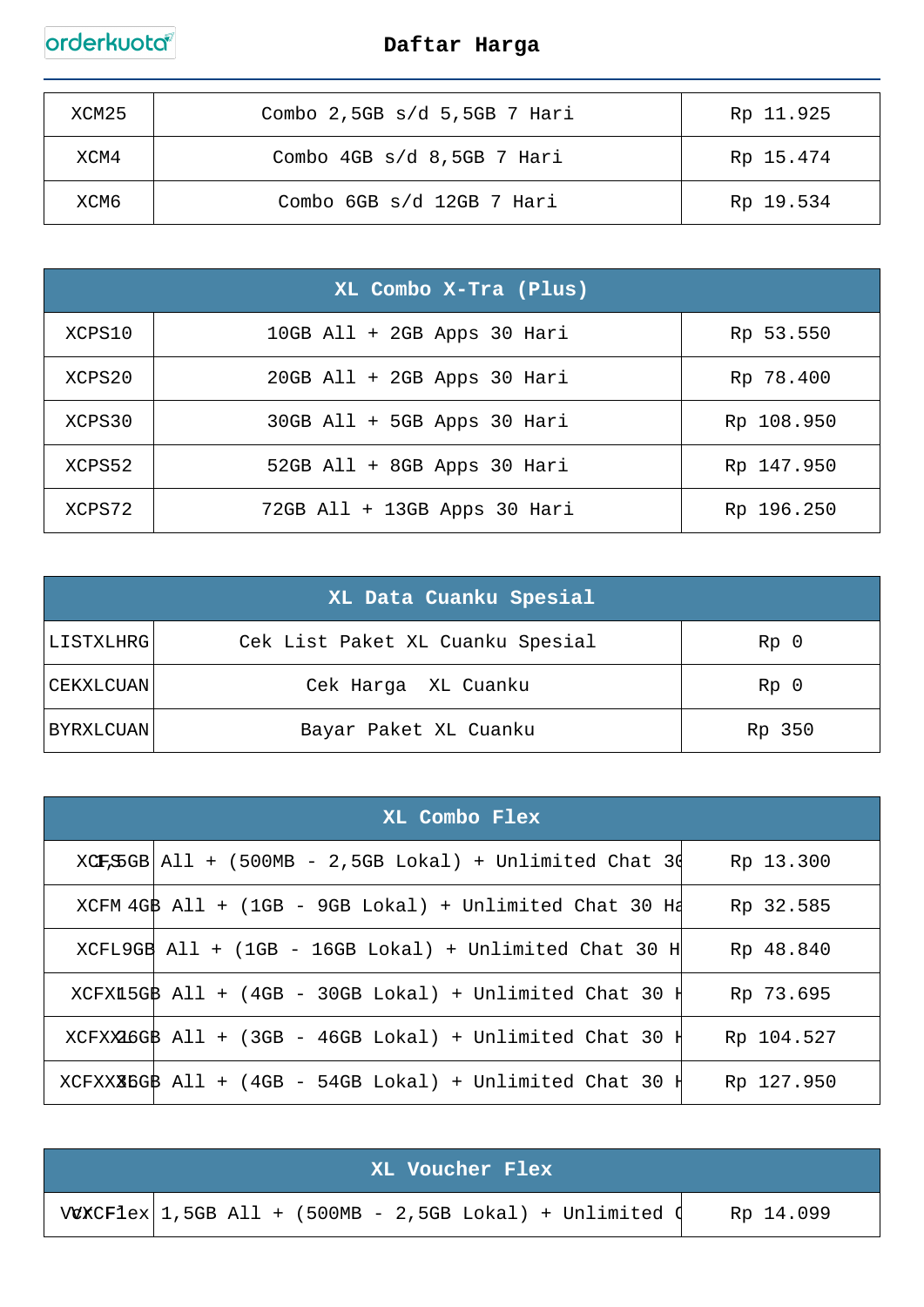

| XCM25 | Combo 2,5GB s/d 5,5GB 7 Hari | Rp 11.925 |
|-------|------------------------------|-----------|
| XCM4  | Combo 4GB s/d 8,5GB 7 Hari   | Rp 15.474 |
| XCM6  | Combo 6GB s/d 12GB 7 Hari    | Rp 19.534 |

| XL Combo X-Tra (Plus) |                              |            |  |  |  |
|-----------------------|------------------------------|------------|--|--|--|
| XCPS10                | 10GB All + 2GB Apps 30 Hari  | Rp 53.550  |  |  |  |
| XCPS20                | 20GB All + 2GB Apps 30 Hari  | Rp 78.400  |  |  |  |
| XCPS30                | 30GB All + 5GB Apps 30 Hari  | Rp 108.950 |  |  |  |
| XCPS52                | 52GB All + 8GB Apps 30 Hari  | Rp 147.950 |  |  |  |
| XCPS72                | 72GB All + 13GB Apps 30 Hari | Rp 196.250 |  |  |  |

| XL Data Cuanku Spesial |                                  |                 |  |  |  |
|------------------------|----------------------------------|-----------------|--|--|--|
| LISTXLHRG              | Cek List Paket XL Cuanku Spesial | Rp <sub>0</sub> |  |  |  |
| CEKXLCUAN              | Cek Harga XL Cuanku              | Rp <sub>0</sub> |  |  |  |
| <b>BYRXLCUAN</b>       | Bayar Paket XL Cuanku            | Rp 350          |  |  |  |

| XL Combo Flex |                                                              |            |  |  |  |
|---------------|--------------------------------------------------------------|------------|--|--|--|
|               | $XCF, SGB   A11 + (500MB - 2,5GB Lokal) + Unlimited Chat 3($ | Rp 13.300  |  |  |  |
|               | XCFM 4GB All + (1GB - 9GB Lokal) + Unlimited Chat 30 Hd      | Rp 32.585  |  |  |  |
|               | XCFL9GB All + (1GB - 16GB Lokal) + Unlimited Chat 30 H       | Rp 48.840  |  |  |  |
|               | XCFXL5GB All + (4GB - 30GB Lokal) + Unlimited Chat 30 H      | Rp 73.695  |  |  |  |
|               | XCFXXI6GB All + (3GB - 46GB Lokal) + Unlimited Chat 30 H     | Rp 104.527 |  |  |  |
|               | XCFXXX6GB All + (4GB - 54GB Lokal) + Unlimited Chat 30 H     | Rp 127.950 |  |  |  |

|  |  | KL Voucher Flex' |                                                                   |           |
|--|--|------------------|-------------------------------------------------------------------|-----------|
|  |  |                  | VWXCFlex   1,5GB All + $(500MB - 2,5GB$ Lokal + Unlimited $\oint$ | Rp 14.099 |